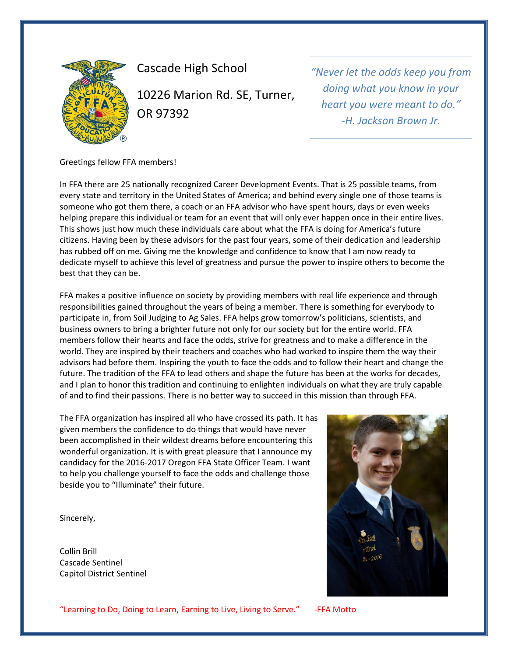

Cascade High School 10226 Marion Rd. SE, Turner, OR 97392

*"Never let the odds keep you from doing what you know in your heart you were meant to do." -H. Jackson Brown Jr.*

Greetings fellow FFA members!

In FFA there are 25 nationally recognized Career Development Events. That is 25 possible teams, from every state and territory in the United States of America; and behind every single one of those teams is someone who got them there, a coach or an FFA advisor who have spent hours, days or even weeks helping prepare this individual or team for an event that will only ever happen once in their entire lives. This shows just how much these individuals care about what the FFA is doing for America's future citizens. Having been by these advisors for the past four years, some of their dedication and leadership has rubbed off on me. Giving me the knowledge and confidence to know that I am now ready to dedicate myself to achieve this level of greatness and pursue the power to inspire others to become the best that they can be.

FFA makes a positive influence on society by providing members with real life experience and through responsibilities gained throughout the years of being a member. There is something for everybody to participate in, from Soil Judging to Ag Sales. FFA helps grow tomorrow's politicians, scientists, and business owners to bring a brighter future not only for our society but for the entire world. FFA members follow their hearts and face the odds, strive for greatness and to make a difference in the world. They are inspired by their teachers and coaches who had worked to inspire them the way their advisors had before them. Inspiring the youth to face the odds and to follow their heart and change the future. The tradition of the FFA to lead others and shape the future has been at the works for decades, and I plan to honor this tradition and continuing to enlighten individuals on what they are truly capable of and to find their passions. There is no better way to succeed in this mission than through FFA.

The FFA organization has inspired all who have crossed its path. It has given members the confidence to do things that would have never been accomplished in their wildest dreams before encountering this wonderful organization. It is with great pleasure that I announce my candidacy for the 2016-2017 Oregon FFA State Officer Team. I want to help you challenge yourself to face the odds and challenge those beside you to "Illuminate" their future.

Sincerely,

Collin Brill Cascade Sentinel Capitol District Sentinel



"Learning to Do, Doing to Learn, Earning to Live, Living to Serve." -FFA Motto